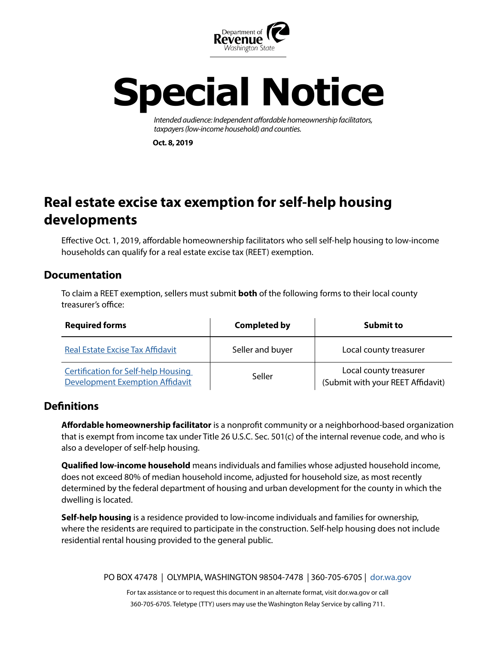

# **Special Notice**

*Intended audience: Independent affordable homeownership facilitators, taxpayers (low-income household) and counties.*

**Oct. 8, 2019**

## **Real estate excise tax exemption for self-help housing developments**

Effective Oct. 1, 2019, affordable homeownership facilitators who sell self-help housing to low-income households can qualify for a real estate excise tax (REET) exemption.

#### **Documentation**

To claim a REET exemption, sellers must submit **both** of the following forms to their local county treasurer's office:

| <b>Required forms</b>                                                                | <b>Completed by</b> | <b>Submit to</b>                                            |
|--------------------------------------------------------------------------------------|---------------------|-------------------------------------------------------------|
| <b>Real Estate Excise Tax Affidavit</b>                                              | Seller and buyer    | Local county treasurer                                      |
| <b>Certification for Self-help Housing</b><br><b>Development Exemption Affidavit</b> | Seller              | Local county treasurer<br>(Submit with your REET Affidavit) |

#### **Definitions**

**Affordable homeownership facilitator** is a nonprofit community or a neighborhood-based organization that is exempt from income tax under Title 26 U.S.C. Sec. 501(c) of the internal revenue code, and who is also a developer of self-help housing.

**Qualified low-income household** means individuals and families whose adjusted household income, does not exceed 80% of median household income, adjusted for household size, as most recently determined by the federal department of housing and urban development for the county in which the dwelling is located.

**Self-help housing** is a residence provided to low-income individuals and families for ownership, where the residents are required to participate in the construction. Self-help housing does not include residential rental housing provided to the general public.

PO BOX 47478 | OLYMPIA, WASHINGTON 98504-7478 | 360-705-6705 | d[or.wa.gov](https://dor.wa.gov/)

For tax assistance or to request this document in an alternate format, visit dor.wa.gov or call 360-705-6705. Teletype (TTY) users may use the Washington Relay Service by calling 711.